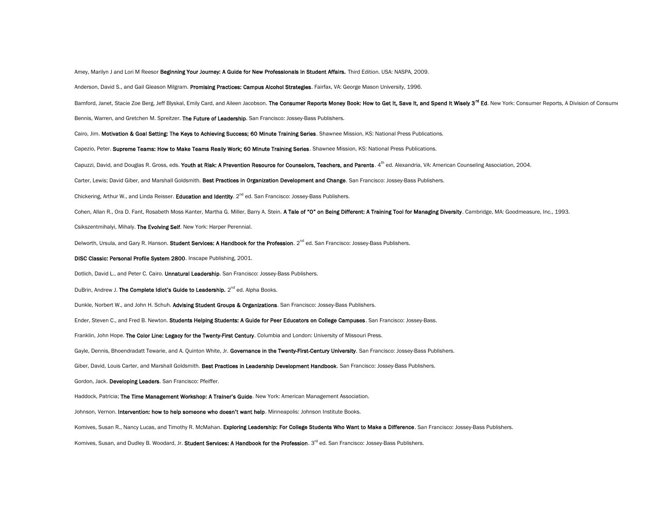Amey, Marilyn J and Lori M Reesor Beginning Your Journey: A Guide for New Professionals in Student Affairs. Third Edition. USA: NASPA, 2009.

Anderson, David S., and Gail Gleason Milgram. Promising Practices: Campus Alcohol Strategies. Fairfax, VA: George Mason University, 1996.

Bamford, Janet, Stacie Zoe Berg, Jeff Blyskal, Emily Card, and Aileen Jacobson. The Consumer Reports Money Book: How to Get It, Save It, and Spend It Wisely 3<sup>rd</sup> Ed. New York: Consumer Reports, A Division of Consume

Bennis, Warren, and Gretchen M. Spreitzer. The Future of Leadership. San Francisco: Jossey-Bass Publishers.

Cairo, Jim. Motivation & Goal Setting: The Keys to Achieving Success; 60 Minute Training Series. Shawnee Mission, KS: National Press Publications.

Capezio, Peter. Supreme Teams: How to Make Teams Really Work; 60 Minute Training Series. Shawnee Mission, KS: National Press Publications.

Capuzzi, David, and Douglas R. Gross, eds. Youth at Risk: A Prevention Resource for Counselors, Teachers, and Parents. 4<sup>th</sup> ed. Alexandria, VA: American Counseling Association, 2004.

Carter, Lewis; David Giber, and Marshall Goldsmith. Best Practices in Organization Development and Change. San Francisco: Jossey-Bass Publishers.

Chickering, Arthur W., and Linda Reisser. Education and Identity. 2<sup>nd</sup> ed. San Francisco: Jossey-Bass Publishers.

Cohen, Allan R., Ora D. Fant, Rosabeth Moss Kanter, Martha G. Miller, Barry A. Stein. A Tale of "O" on Being Different: A Training Tool for Managing Diversity. Cambridge, MA: Goodmeasure, Inc., 1993.

Csikszentmihalyi, Mihaly. The Evolving Self. New York: Harper Perennial.

Delworth, Ursula, and Gary R. Hanson. Student Services: A Handbook for the Profession. 2<sup>nd</sup> ed. San Francisco: Jossey-Bass Publishers.

DISC Classic: Personal Profile System 2800. Inscape Publishing, 2001.

Dotlich, David L., and Peter C. Cairo. Unnatural Leadership. San Francisco: Jossey-Bass Publishers.

DuBrin, Andrew J. The Complete Idiot's Guide to Leadership.  $2^{nd}$  ed. Alpha Books.

Dunkle, Norbert W., and John H. Schuh. Advising Student Groups & Organizations. San Francisco: Jossey-Bass Publishers.

Ender, Steven C., and Fred B. Newton. Students Helping Students: A Guide for Peer Educators on College Campuses. San Francisco: Jossey-Bass.

Franklin, John Hope. The Color Line: Legacy for the Twenty-First Century. Columbia and London: University of Missouri Press.

Gayle, Dennis, Bhoendradatt Tewarie, and A. Quinton White, Jr. Governance in the Twenty-First-Century University. San Francisco: Jossey-Bass Publishers.

Giber, David, Louis Carter, and Marshall Goldsmith. Best Practices in Leadership Development Handbook. San Francisco: Jossey-Bass Publishers.

Gordon, Jack. Developing Leaders. San Francisco: Pfeiffer.

Haddock, Patricia; The Time Management Workshop: A Trainer's Guide. New York: American Management Association.

Johnson, Vernon. Intervention: how to help someone who doesn't want help. Minneapolis: Johnson Institute Books.

Komives, Susan R., Nancy Lucas, and Timothy R. McMahan. Exploring Leadership: For College Students Who Want to Make a Difference. San Francisco: Jossey-Bass Publishers.

Komives, Susan, and Dudley B. Woodard, Jr. Student Services: A Handbook for the Profession. 3<sup>rd</sup> ed. San Francisco: Jossey-Bass Publishers.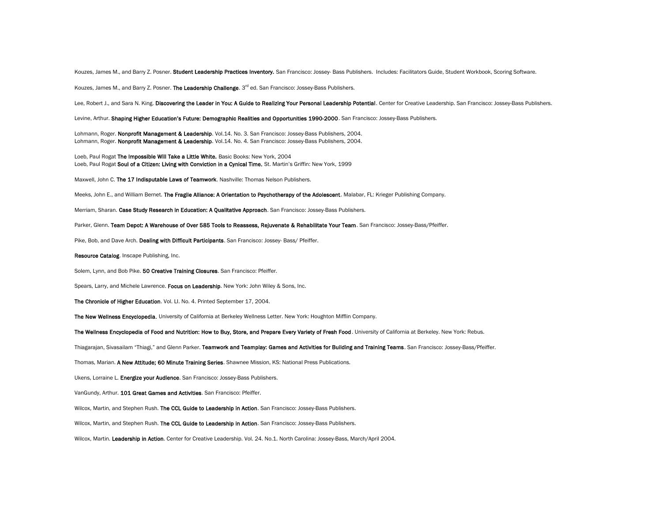Kouzes, James M., and Barry Z. Posner. Student Leadership Practices Inventory. San Francisco: Jossey- Bass Publishers. Includes: Facilitators Guide, Student Workbook, Scoring Software.

Kouzes, James M., and Barry Z. Posner. The Leadership Challenge. 3<sup>rd</sup> ed. San Francisco: Jossey-Bass Publishers.

Lee, Robert J., and Sara N. King. Discovering the Leader in You: A Guide to Realizing Your Personal Leadership Potential. Center for Creative Leadership. San Francisco: Jossey-Bass Publishers.

Levine, Arthur. Shaping Higher Education's Future: Demographic Realities and Opportunities 1990-2000. San Francisco: Jossey-Bass Publishers.

Lohmann, Roger. Nonprofit Management & Leadership. Vol.14. No. 3. San Francisco: Jossey-Bass Publishers, 2004. Lohmann, Roger. Nonprofit Management & Leadership. Vol.14. No. 4. San Francisco: Jossey-Bass Publishers, 2004.

Loeb, Paul Rogat The Impossible Will Take a Little White. Basic Books: New York, 2004 Loeb, Paul Rogat Soul of a Citizen: Living with Conviction in a Cynical Time. St. Martin's Griffin: New York, 1999

Maxwell, John C. The 17 Indisputable Laws of Teamwork. Nashville: Thomas Nelson Publishers.

Meeks, John E., and William Bernet. The Fragile Alliance: A Orientation to Psychotherapy of the Adolescent. Malabar, FL: Krieger Publishing Company.

Merriam, Sharan. Case Study Research in Education: A Qualitative Approach. San Francisco: Jossey-Bass Publishers.

Parker, Glenn. Team Depot: A Warehouse of Over 585 Tools to Reassess, Rejuvenate & Rehabilitate Your Team. San Francisco: Jossey-Bass/Pfeiffer.

Pike, Bob, and Dave Arch. Dealing with Difficult Participants. San Francisco: Jossey- Bass/ Pfeiffer.

Resource Catalog. Inscape Publishing, Inc.

Solem, Lynn, and Bob Pike. 50 Creative Training Closures. San Francisco: Pfeiffer.

Spears, Larry, and Michele Lawrence. Focus on Leadership. New York: John Wiley & Sons, Inc.

The Chronicle of Higher Education. Vol. LI. No. 4. Printed September 17, 2004.

The New Wellness Encyclopedia. University of California at Berkeley Wellness Letter. New York: Houghton Mifflin Company.

The Wellness Encyclopedia of Food and Nutrition: How to Buy, Store, and Prepare Every Variety of Fresh Food. University of California at Berkeley. New York: Rebus.

Thiagarajan, Sivasailam "Thiagi," and Glenn Parker. Teamwork and Teamplay: Games and Activities for Building and Training Teams. San Francisco: Jossey-Bass/Pfeiffer.

Thomas, Marian. A New Attitude; 60 Minute Training Series. Shawnee Mission, KS: National Press Publications.

Ukens, Lorraine L. Energize your Audience. San Francisco: Jossey-Bass Publishers.

VanGundy, Arthur. 101 Great Games and Activities. San Francisco: Pfeiffer.

Wilcox, Martin, and Stephen Rush. The CCL Guide to Leadership in Action. San Francisco: Jossey-Bass Publishers.

Wilcox, Martin, and Stephen Rush. The CCL Guide to Leadership in Action. San Francisco: Jossey-Bass Publishers.

Wilcox, Martin. Leadership in Action. Center for Creative Leadership. Vol. 24. No.1. North Carolina: Jossey-Bass, March/April 2004.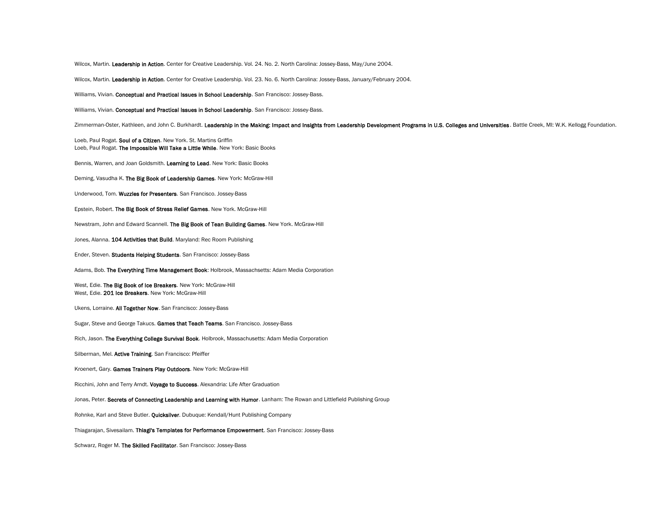Wilcox, Martin. Leadership in Action. Center for Creative Leadership. Vol. 24. No. 2. North Carolina: Jossey-Bass, May/June 2004.

Wilcox, Martin. Leadership in Action. Center for Creative Leadership. Vol. 23. No. 6. North Carolina: Jossey-Bass, January/February 2004.

Williams, Vivian. Conceptual and Practical Issues in School Leadership. San Francisco: Jossey-Bass.

Williams, Vivian. Conceptual and Practical Issues in School Leadership. San Francisco: Jossey-Bass.

Zimmerman-Oster, Kathleen, and John C. Burkhardt. Leadership in the Making: Impact and Insights from Leadership Development Programs in U.S. Colleges and Universities. Battle Creek, MI: W.K. Kellogg Foundation.

Loeb, Paul Rogat. Soul of a Citizen. New York. St. Martins Griffin Loeb, Paul Rogat. The Impossible Will Take a Little While. New York: Basic Books

Bennis, Warren, and Joan Goldsmith. Learning to Lead. New York: Basic Books

Deming, Vasudha K. The Big Book of Leadership Games. New York: McGraw-Hill

Underwood, Tom. Wuzzles for Presenters. San Francisco. Jossey-Bass

Epstein, Robert. The Big Book of Stress Relief Games. New York. McGraw-Hill

Newstram, John and Edward Scannell. The Big Book of Tean Building Games. New York. McGraw-Hill

Jones, Alanna. 104 Activities that Build. Maryland: Rec Room Publishing

Ender, Steven. Students Helping Students. San Francisco: Jossey-Bass

Adams, Bob. The Everything Time Management Book: Holbrook, Massachsetts: Adam Media Corporation

West, Edie. The Big Book of Ice Breakers. New York: McGraw-Hill West, Edie. 201 Ice Breakers. New York: McGraw-Hill

Ukens, Lorraine. All Together Now. San Francisco: Jossey-Bass

Sugar, Steve and George Takucs. Games that Teach Teams. San Francisco. Jossey-Bass

Rich, Jason. The Everything College Survival Book. Holbrook, Massachusetts: Adam Media Corporation

Silberman, Mel. Active Training. San Francisco: Pfeiffer

Kroenert, Gary. Games Trainers Play Outdoors. New York: McGraw-Hill

Ricchini, John and Terry Arndt. Voyage to Success. Alexandria: Life After Graduation

Jonas, Peter. Secrets of Connecting Leadership and Learning with Humor. Lanham: The Rowan and Littlefield Publishing Group

Rohnke, Karl and Steve Butler. Quicksilver. Dubuque: Kendall/Hunt Publishing Company

Thiagarajan, Sivesailam. Thiagi's Templates for Performance Empowerment. San Francisco: Jossey-Bass

Schwarz, Roger M. The Skilled Facilitator. San Francisco: Jossey-Bass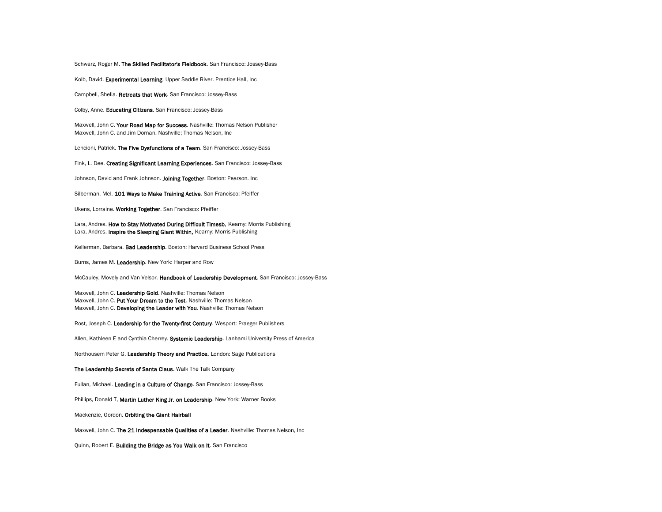Schwarz, Roger M. The Skilled Facilitator's Fieldbook. San Francisco: Jossey-Bass

Kolb, David. Experimental Learning. Upper Saddle River. Prentice Hall, Inc

Campbell, Shelia. Retreats that Work. San Francisco: Jossey-Bass

Colby, Anne. Educating Citizens. San Francisco: Jossey-Bass

Maxwell, John C. Your Road Map for Success. Nashville: Thomas Nelson Publisher Maxwell, John C. and Jim Dornan. Nashville; Thomas Nelson, Inc

Lencioni, Patrick. The Five Dysfunctions of a Team. San Francisco: Jossey-Bass

Fink, L. Dee. Creating Significant Learning Experiences. San Francisco: Jossey-Bass

Johnson, David and Frank Johnson. Joining Together. Boston: Pearson. Inc

Silberman, Mel. 101 Ways to Make Training Active. San Francisco: Pfeiffer

Ukens, Lorraine. Working Together. San Francisco: Pfeiffer

Lara, Andres. How to Stay Motivated During Difficult Timesb. Kearny: Morris Publishing Lara, Andres. Inspire the Sleeping Giant Within, Kearny: Morris Publishing

Kellerman, Barbara. Bad Leadership. Boston: Harvard Business School Press

Burns, James M. Leadership. New York: Harper and Row

McCauley, Movely and Van Velsor. Handbook of Leadership Development. San Francisco: Jossey-Bass

Maxwell, John C. Leadership Gold. Nashville: Thomas Nelson Maxwell, John C. Put Your Dream to the Test. Nashville: Thomas Nelson Maxwell, John C. Developing the Leader with You. Nashville: Thomas Nelson

Rost, Joseph C. Leadership for the Twenty-first Century. Wesport: Praeger Publishers

Allen, Kathleen E and Cynthia Cherrey. Systemic Leadership. Lanhami University Press of America

Northousem Peter G. Leadership Theory and Practice. London: Sage Publications

The Leadership Secrets of Santa Claus. Walk The Talk Company

Fullan, Michael. Leading in a Culture of Change. San Francisco: Jossey-Bass

Phillips, Donald T, Martin Luther King Jr. on Leadership. New York: Warner Books

Mackenzie, Gordon. Orbiting the Giant Hairball

Maxwell, John C. The 21 Indespensable Qualities of a Leader. Nashville: Thomas Nelson, Inc

Quinn, Robert E. Building the Bridge as You Walk on It. San Francisco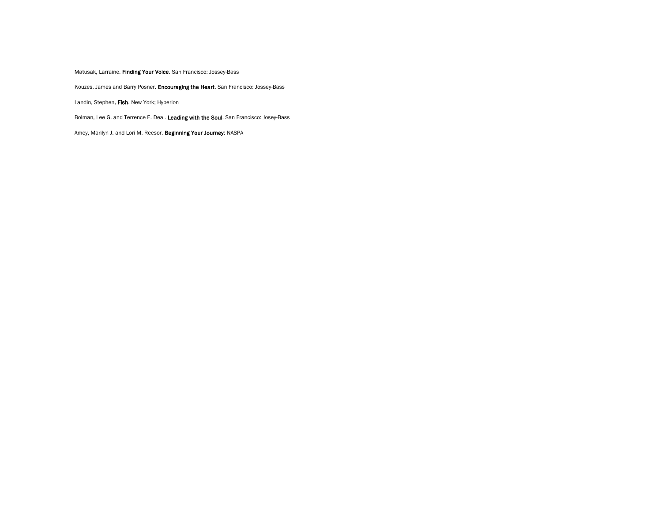Matusak, Larraine. Finding Your Voice. San Francisco: Jossey-Bass

Kouzes, James and Barry Posner. Encouraging the Heart. San Francisco: Jossey-Bass

Landin, Stephen. Fish. New York; Hyperion

Bolman, Lee G. and Terrence E. Deal. Leading with the Soul. San Francisco: Josey-Bass

Amey, Marilyn J. and Lori M. Reesor. Beginning Your Journey: NASPA